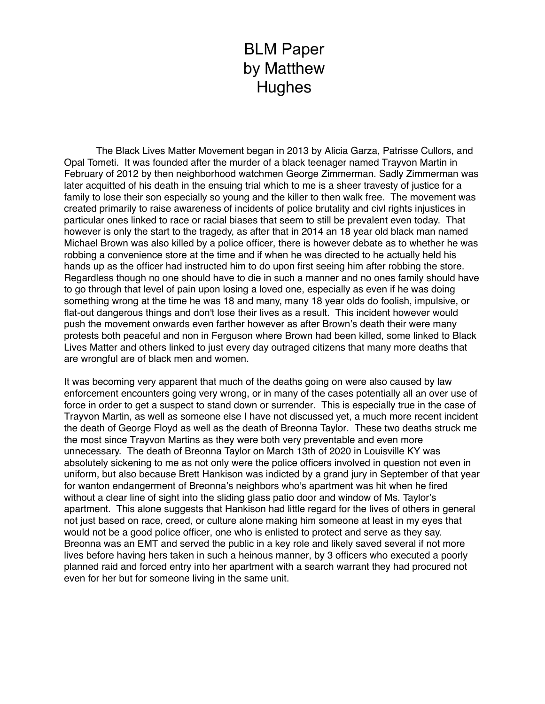## BLM Paper by Matthew **Hughes**

The Black Lives Matter Movement began in 2013 by Alicia Garza, Patrisse Cullors, and Opal Tometi. It was founded after the murder of a black teenager named Trayvon Martin in February of 2012 by then neighborhood watchmen George Zimmerman. Sadly Zimmerman was later acquitted of his death in the ensuing trial which to me is a sheer travesty of justice for a family to lose their son especially so young and the killer to then walk free. The movement was created primarily to raise awareness of incidents of police brutality and civl rights injustices in particular ones linked to race or racial biases that seem to still be prevalent even today. That however is only the start to the tragedy, as after that in 2014 an 18 year old black man named Michael Brown was also killed by a police officer, there is however debate as to whether he was robbing a convenience store at the time and if when he was directed to he actually held his hands up as the officer had instructed him to do upon first seeing him after robbing the store. Regardless though no one should have to die in such a manner and no ones family should have to go through that level of pain upon losing a loved one, especially as even if he was doing something wrong at the time he was 18 and many, many 18 year olds do foolish, impulsive, or flat-out dangerous things and don't lose their lives as a result. This incident however would push the movement onwards even farther however as after Brown's death their were many protests both peaceful and non in Ferguson where Brown had been killed, some linked to Black Lives Matter and others linked to just every day outraged citizens that many more deaths that are wrongful are of black men and women.

It was becoming very apparent that much of the deaths going on were also caused by law enforcement encounters going very wrong, or in many of the cases potentially all an over use of force in order to get a suspect to stand down or surrender. This is especially true in the case of Trayvon Martin, as well as someone else I have not discussed yet, a much more recent incident the death of George Floyd as well as the death of Breonna Taylor. These two deaths struck me the most since Trayvon Martins as they were both very preventable and even more unnecessary. The death of Breonna Taylor on March 13th of 2020 in Louisville KY was absolutely sickening to me as not only were the police officers involved in question not even in uniform, but also because Brett Hankison was indicted by a grand jury in September of that year for wanton endangerment of Breonna's neighbors who's apartment was hit when he fired without a clear line of sight into the sliding glass patio door and window of Ms. Taylor's apartment. This alone suggests that Hankison had little regard for the lives of others in general not just based on race, creed, or culture alone making him someone at least in my eyes that would not be a good police officer, one who is enlisted to protect and serve as they say. Breonna was an EMT and served the public in a key role and likely saved several if not more lives before having hers taken in such a heinous manner, by 3 officers who executed a poorly planned raid and forced entry into her apartment with a search warrant they had procured not even for her but for someone living in the same unit.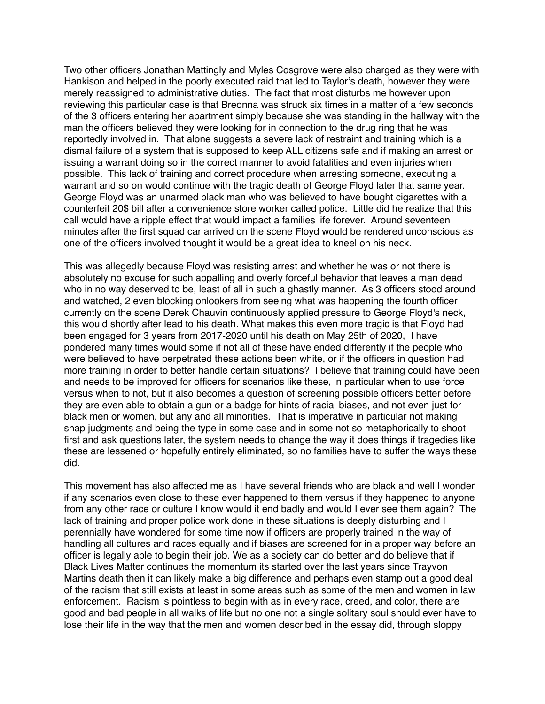Two other officers Jonathan Mattingly and Myles Cosgrove were also charged as they were with Hankison and helped in the poorly executed raid that led to Taylor's death, however they were merely reassigned to administrative duties. The fact that most disturbs me however upon reviewing this particular case is that Breonna was struck six times in a matter of a few seconds of the 3 officers entering her apartment simply because she was standing in the hallway with the man the officers believed they were looking for in connection to the drug ring that he was reportedly involved in. That alone suggests a severe lack of restraint and training which is a dismal failure of a system that is supposed to keep ALL citizens safe and if making an arrest or issuing a warrant doing so in the correct manner to avoid fatalities and even injuries when possible. This lack of training and correct procedure when arresting someone, executing a warrant and so on would continue with the tragic death of George Floyd later that same year. George Floyd was an unarmed black man who was believed to have bought cigarettes with a counterfeit 20\$ bill after a convenience store worker called police. Little did he realize that this call would have a ripple effect that would impact a families life forever. Around seventeen minutes after the first squad car arrived on the scene Floyd would be rendered unconscious as one of the officers involved thought it would be a great idea to kneel on his neck.

This was allegedly because Floyd was resisting arrest and whether he was or not there is absolutely no excuse for such appalling and overly forceful behavior that leaves a man dead who in no way deserved to be, least of all in such a ghastly manner. As 3 officers stood around and watched, 2 even blocking onlookers from seeing what was happening the fourth officer currently on the scene Derek Chauvin continuously applied pressure to George Floyd's neck, this would shortly after lead to his death. What makes this even more tragic is that Floyd had been engaged for 3 years from 2017-2020 until his death on May 25th of 2020, I have pondered many times would some if not all of these have ended differently if the people who were believed to have perpetrated these actions been white, or if the officers in question had more training in order to better handle certain situations? I believe that training could have been and needs to be improved for officers for scenarios like these, in particular when to use force versus when to not, but it also becomes a question of screening possible officers better before they are even able to obtain a gun or a badge for hints of racial biases, and not even just for black men or women, but any and all minorities. That is imperative in particular not making snap judgments and being the type in some case and in some not so metaphorically to shoot first and ask questions later, the system needs to change the way it does things if tragedies like these are lessened or hopefully entirely eliminated, so no families have to suffer the ways these did.

This movement has also affected me as I have several friends who are black and well I wonder if any scenarios even close to these ever happened to them versus if they happened to anyone from any other race or culture I know would it end badly and would I ever see them again? The lack of training and proper police work done in these situations is deeply disturbing and I perennially have wondered for some time now if officers are properly trained in the way of handling all cultures and races equally and if biases are screened for in a proper way before an officer is legally able to begin their job. We as a society can do better and do believe that if Black Lives Matter continues the momentum its started over the last years since Trayvon Martins death then it can likely make a big difference and perhaps even stamp out a good deal of the racism that still exists at least in some areas such as some of the men and women in law enforcement. Racism is pointless to begin with as in every race, creed, and color, there are good and bad people in all walks of life but no one not a single solitary soul should ever have to lose their life in the way that the men and women described in the essay did, through sloppy